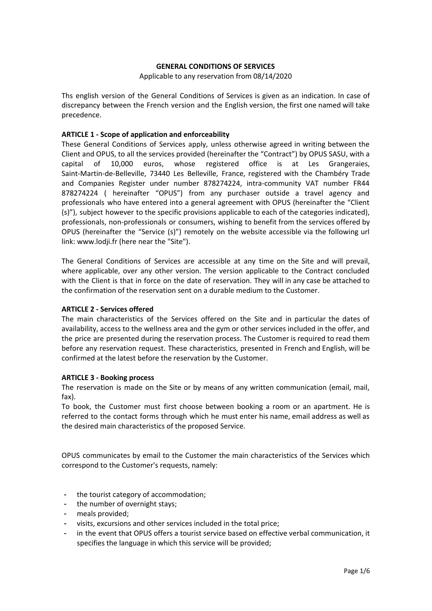## **GENERAL CONDITIONS OF SERVICES**

Applicable to any reservation from 08/14/2020

Ths english version of the General Conditions of Services is given as an indication. In case of discrepancy between the French version and the English version, the first one named will take precedence.

## **ARTICLE 1 - Scope of application and enforceability**

These General Conditions of Services apply, unless otherwise agreed in writing between the Client and OPUS, to all the services provided (hereinafter the "Contract") by OPUS SASU, with a capital of 10,000 euros, whose registered office is at Les Grangeraies, Saint-Martin-de-Belleville, 73440 Les Belleville, France, registered with the Chambéry Trade and Companies Register under number 878274224, intra-community VAT number FR44 878274224 ( hereinafter "OPUS") from any purchaser outside a travel agency and professionals who have entered into a general agreement with OPUS (hereinafter the "Client (s)"), subject however to the specific provisions applicable to each of the categories indicated), professionals, non-professionals or consumers, wishing to benefit from the services offered by OPUS (hereinafter the "Service (s)") remotely on the website accessible via the following url link: www.lodji.fr (here near the "Site").

The General Conditions of Services are accessible at any time on the Site and will prevail, where applicable, over any other version. The version applicable to the Contract concluded with the Client is that in force on the date of reservation. They will in any case be attached to the confirmation of the reservation sent on a durable medium to the Customer.

#### **ARTICLE 2 - Services offered**

The main characteristics of the Services offered on the Site and in particular the dates of availability, access to the wellness area and the gym or other services included in the offer, and the price are presented during the reservation process. The Customer is required to read them before any reservation request. These characteristics, presented in French and English, will be confirmed at the latest before the reservation by the Customer.

## **ARTICLE 3 - Booking process**

The reservation is made on the Site or by means of any written communication (email, mail, fax).

To book, the Customer must first choose between booking a room or an apartment. He is referred to the contact forms through which he must enter his name, email address as well as the desired main characteristics of the proposed Service.

OPUS communicates by email to the Customer the main characteristics of the Services which correspond to the Customer's requests, namely:

- the tourist category of accommodation;
- the number of overnight stays;
- meals provided;
- visits, excursions and other services included in the total price;
- in the event that OPUS offers a tourist service based on effective verbal communication, it specifies the language in which this service will be provided;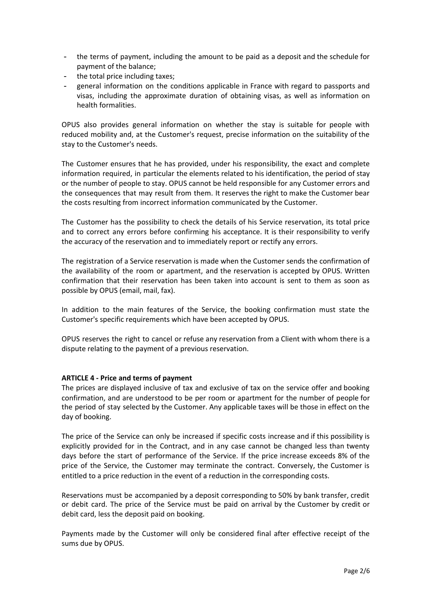- the terms of payment, including the amount to be paid as a deposit and the schedule for payment of the balance;
- the total price including taxes;
- general information on the conditions applicable in France with regard to passports and visas, including the approximate duration of obtaining visas, as well as information on health formalities.

OPUS also provides general information on whether the stay is suitable for people with reduced mobility and, at the Customer's request, precise information on the suitability of the stay to the Customer's needs.

The Customer ensures that he has provided, under his responsibility, the exact and complete information required, in particular the elements related to his identification, the period of stay or the number of people to stay. OPUS cannot be held responsible for any Customer errors and the consequences that may result from them. It reserves the right to make the Customer bear the costs resulting from incorrect information communicated by the Customer.

The Customer has the possibility to check the details of his Service reservation, its total price and to correct any errors before confirming his acceptance. It is their responsibility to verify the accuracy of the reservation and to immediately report or rectify any errors.

The registration of a Service reservation is made when the Customer sends the confirmation of the availability of the room or apartment, and the reservation is accepted by OPUS. Written confirmation that their reservation has been taken into account is sent to them as soon as possible by OPUS (email, mail, fax).

In addition to the main features of the Service, the booking confirmation must state the Customer's specific requirements which have been accepted by OPUS.

OPUS reserves the right to cancel or refuse any reservation from a Client with whom there is a dispute relating to the payment of a previous reservation.

## **ARTICLE 4 - Price and terms of payment**

The prices are displayed inclusive of tax and exclusive of tax on the service offer and booking confirmation, and are understood to be per room or apartment for the number of people for the period of stay selected by the Customer. Any applicable taxes will be those in effect on the day of booking.

The price of the Service can only be increased if specific costs increase and if this possibility is explicitly provided for in the Contract, and in any case cannot be changed less than twenty days before the start of performance of the Service. If the price increase exceeds 8% of the price of the Service, the Customer may terminate the contract. Conversely, the Customer is entitled to a price reduction in the event of a reduction in the corresponding costs.

Reservations must be accompanied by a deposit corresponding to 50% by bank transfer, credit or debit card. The price of the Service must be paid on arrival by the Customer by credit or debit card, less the deposit paid on booking.

Payments made by the Customer will only be considered final after effective receipt of the sums due by OPUS.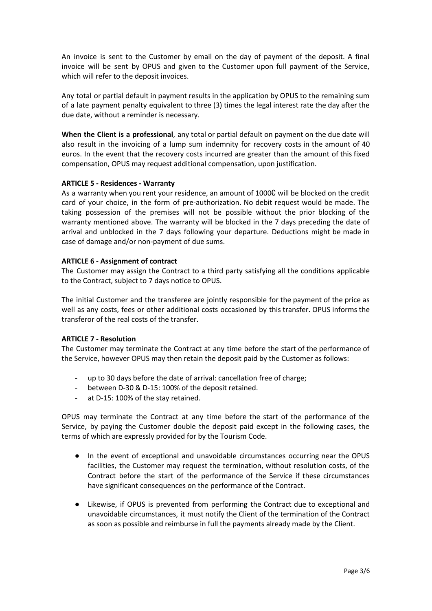An invoice is sent to the Customer by email on the day of payment of the deposit. A final invoice will be sent by OPUS and given to the Customer upon full payment of the Service, which will refer to the deposit invoices.

Any total or partial default in payment results in the application by OPUS to the remaining sum of a late payment penalty equivalent to three (3) times the legal interest rate the day after the due date, without a reminder is necessary.

**When the Client is a professional**, any total or partial default on payment on the due date will also result in the invoicing of a lump sum indemnity for recovery costs in the amount of 40 euros. In the event that the recovery costs incurred are greater than the amount of this fixed compensation, OPUS may request additional compensation, upon justification.

## **ARTICLE 5 - Residences - Warranty**

As a warranty when you rent your residence, an amount of 1000€ will be blocked on the credit card of your choice, in the form of pre-authorization. No debit request would be made. The taking possession of the premises will not be possible without the prior blocking of the warranty mentioned above. The warranty will be blocked in the 7 days preceding the date of arrival and unblocked in the 7 days following your departure. Deductions might be made in case of damage and/or non-payment of due sums.

# **ARTICLE 6 - Assignment of contract**

The Customer may assign the Contract to a third party satisfying all the conditions applicable to the Contract, subject to 7 days notice to OPUS.

The initial Customer and the transferee are jointly responsible for the payment of the price as well as any costs, fees or other additional costs occasioned by this transfer. OPUS informs the transferor of the real costs of the transfer.

## **ARTICLE 7 - Resolution**

The Customer may terminate the Contract at any time before the start of the performance of the Service, however OPUS may then retain the deposit paid by the Customer as follows:

- up to 30 days before the date of arrival: cancellation free of charge;
- between D-30 & D-15: 100% of the deposit retained.
- at D-15: 100% of the stay retained.

OPUS may terminate the Contract at any time before the start of the performance of the Service, by paying the Customer double the deposit paid except in the following cases, the terms of which are expressly provided for by the Tourism Code.

- In the event of exceptional and unavoidable circumstances occurring near the OPUS facilities, the Customer may request the termination, without resolution costs, of the Contract before the start of the performance of the Service if these circumstances have significant consequences on the performance of the Contract.
- Likewise, if OPUS is prevented from performing the Contract due to exceptional and unavoidable circumstances, it must notify the Client of the termination of the Contract as soon as possible and reimburse in full the payments already made by the Client.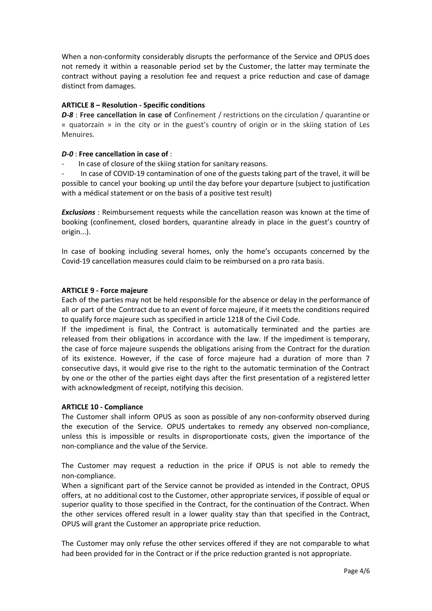When a non-conformity considerably disrupts the performance of the Service and OPUS does not remedy it within a reasonable period set by the Customer, the latter may terminate the contract without paying a resolution fee and request a price reduction and case of damage distinct from damages.

## **ARTICLE 8 – Resolution - Specific conditions**

*D-8* : **Free cancellation in case of** Confinement / restrictions on the circulation / quarantine or « quatorzain » in the city or in the guest's country of origin or in the skiing station of Les Menuires.

# *D-0* : **Free cancellation in case of** :

In case of closure of the skiing station for sanitary reasons.

In case of COVID-19 contamination of one of the guests taking part of the travel, it will be possible to cancel your booking up until the day before your departure (subject to justification with a médical statement or on the basis of a positive test result)

*Exclusions* : Reimbursement requests while the cancellation reason was known at the time of booking (confinement, closed borders, quarantine already in place in the guest's country of origin...).

In case of booking including several homes, only the home's occupants concerned by the Covid-19 cancellation measures could claim to be reimbursed on a pro rata basis.

## **ARTICLE 9 - Force majeure**

Each of the parties may not be held responsible for the absence or delay in the performance of all or part of the Contract due to an event of force majeure, if it meets the conditions required to qualify force majeure such as specified in article 1218 of the Civil Code.

If the impediment is final, the Contract is automatically terminated and the parties are released from their obligations in accordance with the law. If the impediment is temporary, the case of force majeure suspends the obligations arising from the Contract for the duration of its existence. However, if the case of force majeure had a duration of more than 7 consecutive days, it would give rise to the right to the automatic termination of the Contract by one or the other of the parties eight days after the first presentation of a registered letter with acknowledgment of receipt, notifying this decision.

## **ARTICLE 10 - Compliance**

The Customer shall inform OPUS as soon as possible of any non-conformity observed during the execution of the Service. OPUS undertakes to remedy any observed non-compliance, unless this is impossible or results in disproportionate costs, given the importance of the non-compliance and the value of the Service.

The Customer may request a reduction in the price if OPUS is not able to remedy the non-compliance.

When a significant part of the Service cannot be provided as intended in the Contract, OPUS offers, at no additional cost to the Customer, other appropriate services, if possible of equal or superior quality to those specified in the Contract, for the continuation of the Contract. When the other services offered result in a lower quality stay than that specified in the Contract, OPUS will grant the Customer an appropriate price reduction.

The Customer may only refuse the other services offered if they are not comparable to what had been provided for in the Contract or if the price reduction granted is not appropriate.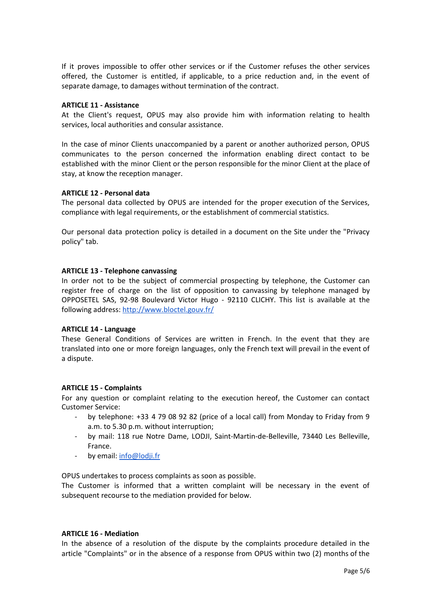If it proves impossible to offer other services or if the Customer refuses the other services offered, the Customer is entitled, if applicable, to a price reduction and, in the event of separate damage, to damages without termination of the contract.

#### **ARTICLE 11 - Assistance**

At the Client's request, OPUS may also provide him with information relating to health services, local authorities and consular assistance.

In the case of minor Clients unaccompanied by a parent or another authorized person, OPUS communicates to the person concerned the information enabling direct contact to be established with the minor Client or the person responsible for the minor Client at the place of stay, at know the reception manager.

#### **ARTICLE 12 - Personal data**

The personal data collected by OPUS are intended for the proper execution of the Services, compliance with legal requirements, or the establishment of commercial statistics.

Our personal data protection policy is detailed in a document on the Site under the "Privacy policy" tab.

#### **ARTICLE 13 - Telephone canvassing**

In order not to be the subject of commercial prospecting by telephone, the Customer can register free of charge on the list of opposition to canvassing by telephone managed by OPPOSETEL SAS, 92-98 Boulevard Victor Hugo - 92110 CLICHY. This list is available at the following address: <http://www.bloctel.gouv.fr/>

## **ARTICLE 14 - Language**

These General Conditions of Services are written in French. In the event that they are translated into one or more foreign languages, only the French text will prevail in the event of a dispute.

## **ARTICLE 15 - Complaints**

For any question or complaint relating to the execution hereof, the Customer can contact Customer Service:

- by telephone: +33 4 79 08 92 82 (price of a local call) from Monday to Friday from 9 a.m. to 5.30 p.m. without interruption;
- by mail: 118 rue Notre Dame, LODJI, Saint-Martin-de-Belleville, 73440 Les Belleville, France.
- by email: [info@lodji.fr](mailto:info@lodji.fr)

OPUS undertakes to process complaints as soon as possible.

The Customer is informed that a written complaint will be necessary in the event of subsequent recourse to the mediation provided for below.

#### **ARTICLE 16 - Mediation**

In the absence of a resolution of the dispute by the complaints procedure detailed in the article "Complaints" or in the absence of a response from OPUS within two (2) months of the